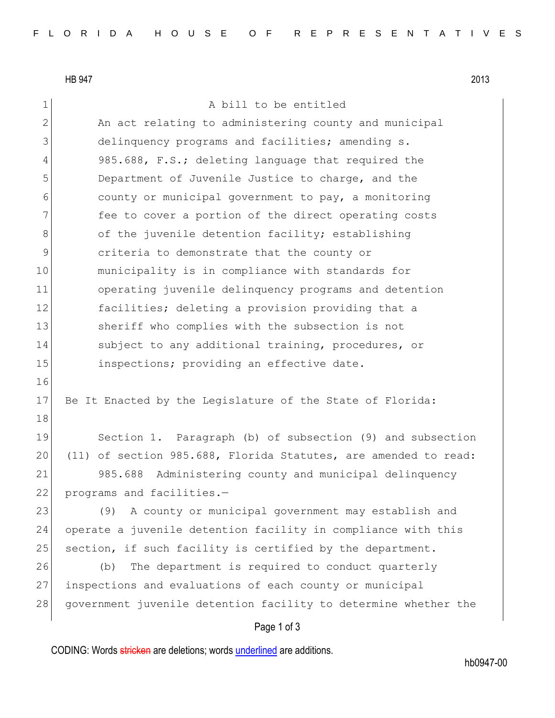HB 947 2013

## 1 a bill to be entitled

2 An act relating to administering county and municipal 3 delinquency programs and facilities; amending s. 4 985.688, F.S.; deleting language that required the 5 Department of Juvenile Justice to charge, and the 6 county or municipal government to pay, a monitoring 7 **fee to cover a portion of the direct operating costs** 8 of the juvenile detention facility; establishing 9 9 criteria to demonstrate that the county or 10 municipality is in compliance with standards for 11 operating juvenile delinquency programs and detention 12 **facilities;** deleting a provision providing that a 13 Sheriff who complies with the subsection is not 14 subject to any additional training, procedures, or 15 15 inspections; providing an effective date. 16 17 Be It Enacted by the Legislature of the State of Florida: 18 19 Section 1. Paragraph (b) of subsection (9) and subsection 20 (11) of section 985.688, Florida Statutes, are amended to read: 21 985.688 Administering county and municipal delinquency

22 programs and facilities.-

 (9) A county or municipal government may establish and operate a juvenile detention facility in compliance with this 25 section, if such facility is certified by the department. (b) The department is required to conduct quarterly inspections and evaluations of each county or municipal 28 government juvenile detention facility to determine whether the

## Page 1 of 3

CODING: Words stricken are deletions; words underlined are additions.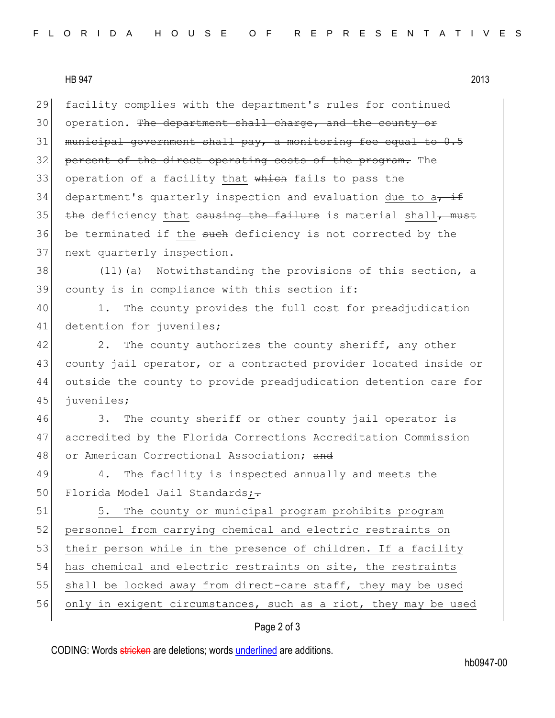## HB 947 2013

29 facility complies with the department's rules for continued 30 operation. The department shall charge, and the county or 31 municipal government shall pay, a monitoring fee equal to 0.5 32 percent of the direct operating costs of the program. The 33 operation of a facility that which fails to pass the 34 department's quarterly inspection and evaluation due to  $a_{\tau}$  if 35 the deficiency that causing the failure is material shall, must 36 be terminated if the such deficiency is not corrected by the 37 next quarterly inspection.

38 (11)(a) Notwithstanding the provisions of this section, a 39 county is in compliance with this section if:

40 1. The county provides the full cost for preadjudication 41 detention for juveniles;

42 2. The county authorizes the county sheriff, any other 43 county jail operator, or a contracted provider located inside or 44 outside the county to provide preadjudication detention care for 45 juveniles;

46 3. The county sheriff or other county jail operator is 47 accredited by the Florida Corrections Accreditation Commission 48 or American Correctional Association; and

49 4. The facility is inspected annually and meets the 50 Florida Model Jail Standards;-

51 5. The county or municipal program prohibits program 52 personnel from carrying chemical and electric restraints on 53 their person while in the presence of children. If a facility 54 has chemical and electric restraints on site, the restraints 55 shall be locked away from direct-care staff, they may be used 56 only in exigent circumstances, such as a riot, they may be used

## Page 2 of 3

CODING: Words stricken are deletions; words underlined are additions.